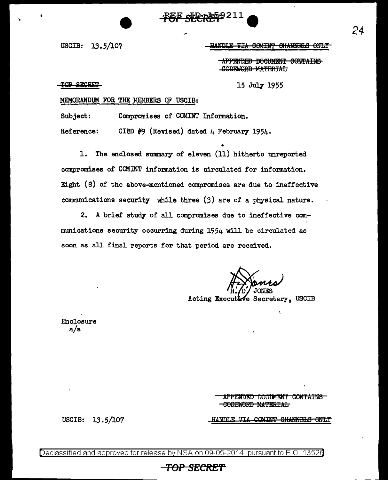,-

USCIB: 13.5/107 - HANDLE VIA COMINT CHANNELS ONLY

**APPENDED DOCUMENT CONTAINS** CODEWORD MATERIAL

TOP SECRET

15 July 1955

### MEMORANDUM FOR THE MEMBERS OF USCIB:

Subject: Compromises of COMINT Information.

Reference: CIBD  $#9$  (Revised) dated 4 February 1954.

• 1. The enclosed summary of eleven (11) hitherto unreported compromises of COMINT information is circulated for information. Eight (S) of the above-mentioned compromises are due to ineffective communications security while three (3) are of a physical nature.

2. A brief study of all compromises due to ineffective communications security occurring during 1954 will be circulated as soon as all final reports for that period are received.

Acting Executive Secretary, USCIB

Enclosure a/s

> APPENDED DOCUMENT CONTAINS -GODEWORD MATERIAL

HANDLE VIA COMINT CHANNELS ONLY

USCIB: 13.5/107

Declassified and approved for release by NSA on 09-05-2014 pursuant to E.O. 1352d

### **TOP SECRET**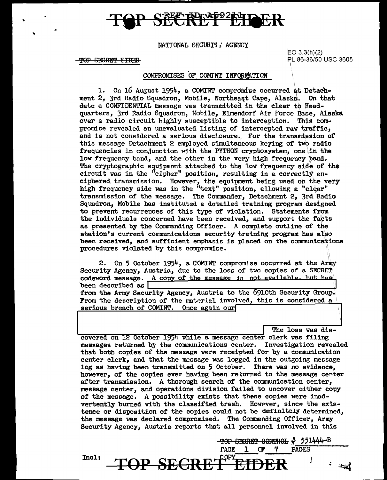## <u>E porap921di i</u>

NATIONAL SECURI'l *J.* AGENCY

**TOP SECRET EIDER** 

EO 3.3(h)(2) PL 86-36/50 USC 3605

### COMPROMISES OF COMINT INFORMATION

1. On 16 August 1954, a COMINT compromise occurred at Detach-<br>2. 3rd Radio Squadron. Mobile. Northeast Cape. Alaska. On that ment 2, 3rd Radio Squadron, Mobile, Northeast Cape, Alaska. date a CONFIDENTIAL message was transmitted in the clear to Headquarters, 3rd Radio Squadron, Mobile, Elmendorf Air Force Base, Alaska over a radio circuit highly susceptible to interception. This compromioe revealed an unevaluated listing of intercepted raw traffic, and is not considered a serious disclosure. For the transmission of this message Detachment 2 employed simultaneous keying of two radio frequencies in conjunction with the PYTHON cryptosystem, one in the low frequency band, and the other in the very high frequency band. The cryptographic equipment attached to the low frequency side of the circuit was in the "cipher" position, resulting in a correctly enciphered transmission. However, the equipment being used on the very high frequency side was in the "text" position, allowing a "clear" transmission of the message. The Commander, Detachment 2, 3rd Radio Squadron, Mobile has instituted a. detailed training program designed to prevent recurrences of this type of violation. Statements from the individuals concerned have been received, and support the facts as presented by the Commanding Officer. A complete outline of the station's current communications security training program has also been received, and sufficient emphasis is placed on the communications procedures violated by this compromise.

2. On 5 October  $1954$ , a COMINT compromise occurred at the Army Security Agency, Austria, due to the loss of two copies of a SECRET codeword message. A copy of the message is not available. but has been described as  $\sqrt{ }$ been described as  $\boxed{\qquad \qquad \text{from the Army Security Agency, Austria to the 6910th Security Group.}\$ From the description of the material involved, this is considered a serious breach of COMINT. Once again our

PAGES

 $-$ TOP SECRET CONTROL  $#$  551444-B

- 7

Œ

-The loss was dis<br>| The loss was dis<br>| covered on 12 October 1954 while a message center clerk was filing messages returned by the communications center. Investigation revealed that both copies of the message were receipted for by a communication center clerk, and that the message was logged in the outgoing message log as having been transmitted on 5 October. There was no evidence, however, of the copies ever having been returned to the message center after transmission. A thorough search of the communication center, message center, and operations division failed to uncover either copy of the message. A possibility exists that these copies were inadvertently burned with the classified trash. However, since the existence or disposition of the copies could not be definitely determined, the message was declared compromised. The Commanding Officer, Army Security Agency, Austria reports that all personnel involved in this

**PAGE** 

**JP SEGI** 

1

Incl: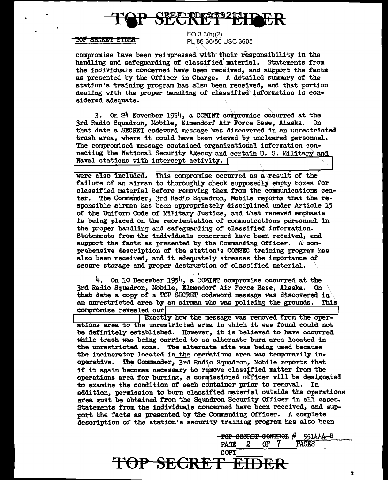

### <del>TOP SECRET ETDER</del>

EO 3.3(h)(2) PL 86-36/50 USC 3605

compromise have been reimpressed vith'their responsibility in the handling and safeguarding of classified' material. Statements from the individuals concerned have been received, and support the facts as presented by the Officer in Charge. A detailed summary of the station's training program has also been received, and that portion dealing with the proper handling of classified information is considered adequate.

3. On 24 November 1954, a COMINT conipromise occurred at the 3rd Radio Squadron, Mobile, Elmendorf Air Force Base, Alaska. On that date a SECRET codeword message was discovered in an unrestricted trash area, where it could have been viewed by uncleared personnel. The compromised message contained organizational information connecting the National Security Agency and certain U. S. Military and Naval stations with intercept activity.  $\lceil$ 

were also included. This compromise occurred as a result of the failure of an airman to thoroughly check supposedly empty boxes for classified material before removing them from the communications center. The Commander, 3rd Radio Squadron, Mobile reports that the responsible airman has been appropriately disciplined under Article 15 of the Uniform Code of Military Justice, and that renewed emphasis is being placed on the reorientation of connnunications personnel in the proper handling and safeguarding of classified information. Statements from the individuals concerned have been received, and support the facts as presented by the Commanding Officer. A\ comprehensive description of' the station's COMSEC training program has also been received, and it adequately stresses the importance Of secure storage and proper destruction of classified material.

 $4.$  On 10 December 1954, a COMINT compromise occurred at the 3rd Radio Squadron, Mobile, Elmendorf' Air Force Base, Alaska. On that date a copy of a TOP SECRET codeword message was discovered in an unrestricted area by an airman who was policing the grounds. This an unrestricted area by an airman who was policing the grounds. compromise revealed our

Exactly how the message was removed from the operations area to the unrestricted area in which it was found could not be definitely established. However, it is believed to have occurred while trash was being carried to an alternate burn area located in the unrestricted zone. The alternate site was being used because the incinerator located in the operations area was temporarily inoperative. The Commander, 3rd Radio Squadron, Mobile reports that if it again becomes necessary to remove classified matter from the operations area for burning, a commissioned officer will be designated to examine the condition of each container prior to removal. In addition, permission to burn classified material outside the operations area must be obtained from the Squadron Security Officer in all cases. Statements from the individuals concerned have been received, and support the facts as presented by the Commanding Officer. A complete description of' the station's security training program has also been

> <del>TOP SECRET CONTROL # 551444-B</del><br>PAGE 2 OF 7 PAGES PAGE 2 *OF* 7 PAGES

# TOP SECRET EIDE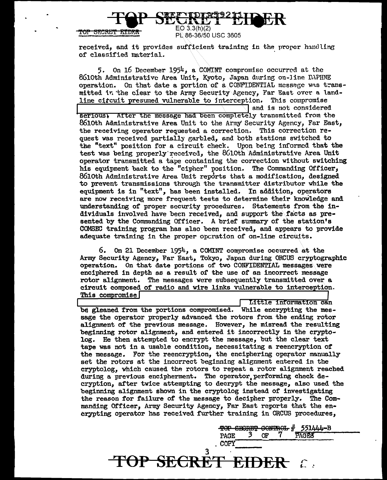**SECRET EIQER** 

-SECRET EIDER

PL86-36/50 USC 3605

received, and it provides sufficient training in the proper handling of clasaified material.

5. On 16 December 1954, a COMINT compromise occurred at the 8610th Administrative Area Unit, Kyoto, Japan during on-line DAPHNE operation. On that date a portion of a CONFIDENTIAL message was transmitted in the clear to the Army Security Agency, Far East over a landline circuit presumed vulnerable to interception. This compromise and is not considered serious) After the message had been completely transmitted from the 8610th Administrative Area Unit to the Army Security Agency, Far East, the receiving operator requested a correction. This correction request was received partially garbled, and both stations switched to the "text" position for a circuit check. Upon being informed that the test was being properly received, the 8610th Administrative Area Unit operator transmitted a tape containing the correction without switching his equipment back to the "cipher" position. The Commanding Officer, 8610th Administrative Area Unit reports that a modification, designed to prevent transmissions through the transmitter distributor while the equipment is in "text", has been installed. In addition, operators are now receiving more frequent tests to determine their knowledge and understanding of proper security procedures. Statements from the individuals involved have been received, and support the facts as  $pre$ sented by the Commanding Officer. A brief summary or the station's COMSEC training program has also been received, and appears to provide adequate training in the proper operation of on-line circuits.

6. On 21 December 1954, a COMINT compromise occurred at the Army Security Agency, Far East, Tokyo, Japan during ORCUS cryptographic operation. On that date portions of two CONFIDENTIAL messages were enciphered in depth as a result of the use of an incorrect message rotor alignment. The messages were subsequently transmitted over a circuit composed of radio and wire links vulnerable to interception. This compromise

Little information can be gleaned from the portions compromised. While encrypting the message the operator properly advanced the rotors from the ending rotor alignment of the previous message. However, he misread the resulting beginning rotor alignment, and entered it incorrectly in the cryptolog. He then attempted to encrypt the message, but the clear text tape was not in a usable condition, necessitating a reencryption of the message. For the reencryption, the enciphering operator manually set the rotors at the incorrect beginning alignment entered in the cryptolog, which caused the rotors to repeat a rotor alignment reached during a previous encipherment. The operator performing check decryption, after twice attempting to decrypt the message, also used the beginning alignment shown in the cryptolog instead or investigating the reason for failure of the message to decipher properly. The Commanding Officer, Army Security Agency, Far East reports that the encrypting operator has received further training in ORCUS procedures,

3

**TOP SECRET EIDER** 

TOP SECRET CONTROL # 551444-B<br>
PAGE 3 OF 7 PAGES<br>
. COPY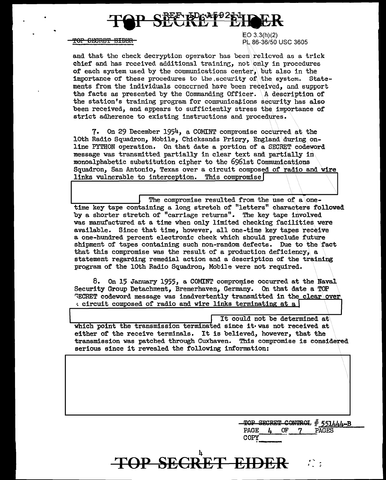### **ELEDGAP921**

### T<del>OP SECRET EIDER</del>

EO 3.3(h)(2) PL 86-36/50 USC 3605

and that the check decryption operator has been relieved as a trick chief and has received additional training, not only in procedures of each system used by the communications center, but also in the importance of these procedures to the sccurity of the system. Statements from the individuals concerned have been received, and support the facts as presented by the Commanding Officer. A description of the station's training program for communications security has also been received, and appears to sufficiently stress the importance of strict adherence to existing instructions and procedures.

7. On 29 December 1954, a COMINT compromise occurred at the loth Radio Squadron, Mobile, Chicksands Pripry, England during online PYTHON operation. On that date a portion of a SECRET codeword message was transmitted partially in clear text and partially in monoalphabetic substitution cipher to the 6961st Communications Squadron, San Antonio, Texas over a circuit composed of radio and wire links vulnerable to interception. This compromise

The compromise resulted from the use of a onetime key tape containing a long stretch of "letters" characters followed by a shorter stretch of "carriage returns". The key tape involved was manufactured at a time when only limited checking facilities were available. Since that time, however, all one-time key tapes receive a one-hundred percent electronic check which should preclude future shipment of tapes containing such non-random defects. Due to the fact that this compromise was the result of a production deficiency, a statement regarding remedial action and a description of' the training program of the loth Radio Squadron, Mobile were not required.

8. On 15 January 1955, a COMINT compromise occurred at the Naval Security Group Detachment, Bremerhaven, Germany. On that date a TOP ~ECRET codeword message was inadvertently transmitted in the clear\over  $\cdot$  circuit composed of radio and wire links terminating at a

It could not be determined at which point the transmission terminated since it•was not received at either of the receive terminals. It is believed, however, that the transmission was patched through Cuxhaven. This compromise is considered serious since it revealed the following information:

FOP SE

 $\frac{\text{TOP} \text{ SECRET} \text{ COMPUTA}}{\text{PAGE}} + \frac{\text{551444-B}}{\text{PAGES}}$ PAGE *L* OF 7 PAGES  $COPY$ 

 $\lambda$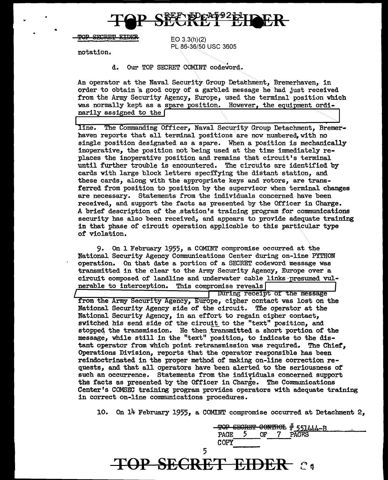

**TOP SECRET EIDER** 

 $EO.3.3(h)(2)$ PL 86-36/50 USC 3605

notation.

•

d. Our TOP SECRET COMINT codeword.

An operator at the Naval Security Group Detachment, Bremerhaven, in order to obtain 'a good copy of a garbled message he had Just received from the Army Security Agency, Europe, used the terminal position which was normally kept as a spare position. However, the equipment ordinarily assigned to the  $\lceil$ 

line. The Commanding Officer, Naval Security Group Detachment, Bremerhaven reports that all terminal positions are now numbered, with no single position designated as a spare. When a position is mechanically inoperative, the position not being used at the time innnediately replaces the inoperative position and remains that circuit's terminal until further trouble is encountered. The circuits are identified by cards with large block letters specifying the distant station, and these cards, along with the appropriate keys and rotors, are transferred from position to position by the supervisor when terminal changes are necessary. Statements from the individuals concerned have been received, and support the facts as presented by the Officer in Charge. A brief description of the .station's training program for communications security has also been received, and appears to provide gdequate training in that phase of circuit operation applicable to this particular type of violation.

9. On 1 February 1955, a COMINT compromise occurred at the National Security Agency Connnunications Center during on-line PYTHON operation. On that date a portion of a SECRET codeword message was transmitted in the clear to the Army Security Agency, Europe over a circuit composed of landline and underwater cable links ·presumed vul. nerable to interception. This compromise reveals

During receipt of the message from the Army Security Agency, Europe, cipher contact was lost on the National Security Agency side of the circuit. The operator at the National Security Agency, in an effort to regain cipher contact, switched his send side of the circuit to the "text" position, and stopped the transmission. He then transmitted a short portion of the message, while still in the "text" position, to indicate to the distant operator from which point retransmission was required. The Chief, Operations Division, reports that the operator responsible has been reindoctrinated in the proper method of making on-line correction requests, and that all operators have been alerted to the seriousness of such an occurrence. Statements from the individuals concerned support the facts as presented by the Officer in Charge. The Communications Center's COMSEC training program provides operators with adequate training in correct on-line communications procedures.

10. On 14 February 1955, a COMINT compromise occurred at Detachment 2,

TOP SECRET CONTROL # 551444-B<br>PAGE 5 OF 7 PAGES COPY PAGE 5<br>COPY 5 **TOP SECRET EIDER**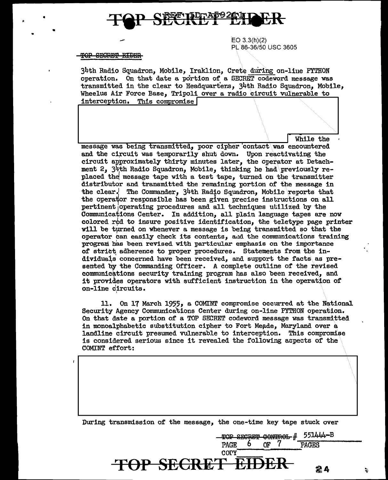

EO 3.3(h)(2) PL 86-36/50 USC 3605

#### OP SECRET EIDER

•

•

34th Radio Squadron, Mobile, Iraklion, Crete during on-liue PYTHON operation. On that date a portion of' a SECRET codeword message was transmitted in the clear to Headquarters. 34th Radio Squadron. Mobile. Wheelus Air Force Base, Tripoli over a radio circuit vulnerable to interception. This compromise

While the

message was being transmitted, poor cipher contact was encountered and the circuit was temporarily shut down. Upon reactivating the circuit approximately thirty minutes later, the operator at Detachment 2,  $34$ th Radio Squadron, Mobile, thinking he had $\gamma$  previously replaced the message tape with a test tape, turned on the transmitter distributor and transmitted the remaining portion of the message in the clear. The Commander,  $34$ th Radio Squadron, Mobile reports that the operator responsible has been given precise instructions on all pertinent operating procedures and all techniques utilized by the Communications Center. In addition, all plain language tapes are now colored r $d$  to insure positive identification, the teletype page printer will be turned on whenever a message is being transmitted so that the operator can easily check its contents, and the communications training program has been revised with particular emphasis on the importance of strict adherence to proper procedures. Statements from the in dividuals concerned have been received, and support the facts as presented by the Commanding Officer. A complete outline of the revised communications security training program has also been received, and it provides operators with sufficient instruction in the operation of on-line circuits.

11. On 17 March 1955, a COMINT compromise occurred at the National Security Agency Communica'tions Center during on-line PYTHON operation. On that date a portion of a TOP SECRET codeword message was transmitted in monoalphabetic substitution cipher to Fort Meade, Maryland over a landline circuit presumed vulnerable to interception. This compromise is considered serious since it revealed the following aopects of the COMINT effort:

During transmission of the message, the one-time key tape stuck over

 $\overline{TOP}$  **SECRET E** 

TOP SECRET CONTROL # 551444-B PAGE 6 OF 7 PAGES

24